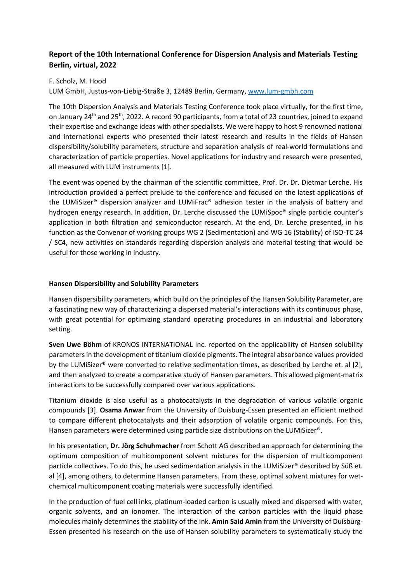# **Report of the 10th International Conference for Dispersion Analysis and Materials Testing Berlin, virtual, 2022**

# F. Scholz, M. Hood

LUM GmbH, Justus-von-Liebig-Straße 3, 12489 Berlin, Germany[, www.lum-gmbh.com](http://www.lum-gmbh.com/)

The 10th Dispersion Analysis and Materials Testing Conference took place virtually, for the first time, on January 24<sup>th</sup> and 25<sup>th</sup>, 2022. A record 90 participants, from a total of 23 countries, joined to expand their expertise and exchange ideas with other specialists. We were happy to host 9 renowned national and international experts who presented their latest research and results in the fields of Hansen dispersibility/solubility parameters, structure and separation analysis of real-world formulations and characterization of particle properties. Novel applications for industry and research were presented, all measured with LUM instruments [1].

The event was opened by the chairman of the scientific committee, Prof. Dr. Dr. Dietmar Lerche. His introduction provided a perfect prelude to the conference and focused on the latest applications of the LUMiSizer® dispersion analyzer and LUMiFrac® adhesion tester in the analysis of battery and hydrogen energy research. In addition, Dr. Lerche discussed the LUMiSpoc® single particle counter's application in both filtration and semiconductor research. At the end, Dr. Lerche presented, in his function as the Convenor of working groups WG 2 (Sedimentation) and WG 16 (Stability) of ISO-TC 24 / SC4, new activities on standards regarding dispersion analysis and material testing that would be useful for those working in industry.

# **Hansen Dispersibility and Solubility Parameters**

Hansen dispersibility parameters, which build on the principles of the Hansen Solubility Parameter, are a fascinating new way of characterizing a dispersed material's interactions with its continuous phase, with great potential for optimizing standard operating procedures in an industrial and laboratory setting.

**Sven Uwe Böhm** of KRONOS INTERNATIONAL Inc. reported on the applicability of Hansen solubility parameters in the development of titanium dioxide pigments. The integral absorbance values provided by the LUMiSizer® were converted to relative sedimentation times, as described by Lerche et. al [2], and then analyzed to create a comparative study of Hansen parameters. This allowed pigment-matrix interactions to be successfully compared over various applications.

Titanium dioxide is also useful as a photocatalysts in the degradation of various volatile organic compounds [3]. **Osama Anwar** from the University of Duisburg-Essen presented an efficient method to compare different photocatalysts and their adsorption of volatile organic compounds. For this, Hansen parameters were determined using particle size distributions on the LUMiSizer®.

In his presentation, **Dr. Jörg Schuhmacher** from Schott AG described an approach for determining the optimum composition of multicomponent solvent mixtures for the dispersion of multicomponent particle collectives. To do this, he used sedimentation analysis in the LUMiSizer® described by Süß et. al [4], among others, to determine Hansen parameters. From these, optimal solvent mixtures for wetchemical multicomponent coating materials were successfully identified.

In the production of fuel cell inks, platinum-loaded carbon is usually mixed and dispersed with water, organic solvents, and an ionomer. The interaction of the carbon particles with the liquid phase molecules mainly determines the stability of the ink. **Amin Said Amin** from the University of Duisburg-Essen presented his research on the use of Hansen solubility parameters to systematically study the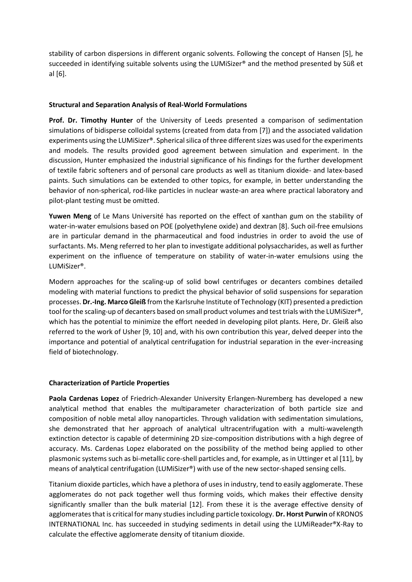stability of carbon dispersions in different organic solvents. Following the concept of Hansen [5], he succeeded in identifying suitable solvents using the LUMiSizer® and the method presented by Süß et al [6].

# **Structural and Separation Analysis of Real-World Formulations**

**Prof. Dr. Timothy Hunter** of the University of Leeds presented a comparison of sedimentation simulations of bidisperse colloidal systems (created from data from [7]) and the associated validation experiments using the LUMiSizer®. Spherical silica of three different sizes was used for the experiments and models. The results provided good agreement between simulation and experiment. In the discussion, Hunter emphasized the industrial significance of his findings for the further development of textile fabric softeners and of personal care products as well as titanium dioxide- and latex-based paints. Such simulations can be extended to other topics, for example, in better understanding the behavior of non-spherical, rod-like particles in nuclear waste-an area where practical laboratory and pilot-plant testing must be omitted.

**Yuwen Meng** of Le Mans Université has reported on the effect of xanthan gum on the stability of water-in-water emulsions based on POE (polyethylene oxide) and dextran [8]. Such oil-free emulsions are in particular demand in the pharmaceutical and food industries in order to avoid the use of surfactants. Ms. Meng referred to her plan to investigate additional polysaccharides, as well as further experiment on the influence of temperature on stability of water-in-water emulsions using the LUMiSizer®.

Modern approaches for the scaling-up of solid bowl centrifuges or decanters combines detailed modeling with material functions to predict the physical behavior of solid suspensions for separation processes. **Dr.-Ing. Marco Gleiß** from the Karlsruhe Institute of Technology (KIT) presented a prediction tool for the scaling-up of decanters based on small product volumes and test trials with the LUMiSizer®, which has the potential to minimize the effort needed in developing pilot plants. Here, Dr. Gleiß also referred to the work of Usher [9, 10] and, with his own contribution this year, delved deeper into the importance and potential of analytical centrifugation for industrial separation in the ever-increasing field of biotechnology.

### **Characterization of Particle Properties**

**Paola Cardenas Lopez** of Friedrich-Alexander University Erlangen-Nuremberg has developed a new analytical method that enables the multiparameter characterization of both particle size and composition of noble metal alloy nanoparticles. Through validation with sedimentation simulations, she demonstrated that her approach of analytical ultracentrifugation with a multi-wavelength extinction detector is capable of determining 2D size-composition distributions with a high degree of accuracy. Ms. Cardenas Lopez elaborated on the possibility of the method being applied to other plasmonic systems such as bi-metallic core-shell particles and, for example, as in Uttinger et al [11], by means of analytical centrifugation (LUMiSizer®) with use of the new sector-shaped sensing cells.

Titanium dioxide particles, which have a plethora of uses in industry, tend to easily agglomerate. These agglomerates do not pack together well thus forming voids, which makes their effective density significantly smaller than the bulk material [12]. From these it is the average effective density of agglomerates that is critical for many studiesincluding particle toxicology. **Dr. Horst Purwin** of KRONOS INTERNATIONAL Inc. has succeeded in studying sediments in detail using the LUMiReader®X-Ray to calculate the effective agglomerate density of titanium dioxide.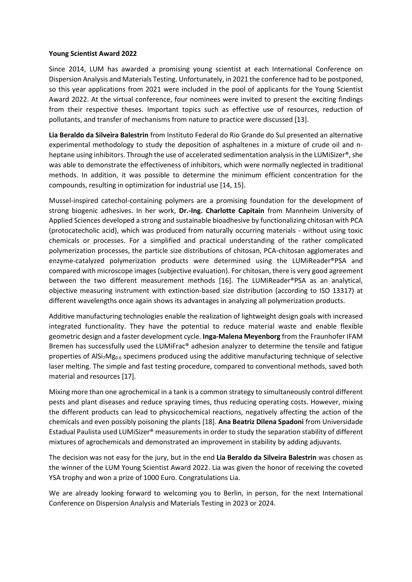### **Young Scientist Award 2022**

Since 2014, LUM has awarded a promising young scientist at each International Conference on Dispersion Analysis and Materials Testing. Unfortunately, in 2021 the conference had to be postponed, so this year applications from 2021 were included in the pool of applicants for the Young Scientist Award 2022. At the virtual conference, four nominees were invited to present the exciting findings from their respective theses. Important topics such as effective use of resources, reduction of pollutants, and transfer of mechanisms from nature to practice were discussed [13].

**Lia Beraldo da Silveira Balestrin** from Instituto Federal do Rio Grande do Sul presented an alternative experimental methodology to study the deposition of asphaltenes in a mixture of crude oil and nheptane using inhibitors. Through the use of accelerated sedimentation analysis in the LUMiSizer®, she was able to demonstrate the effectiveness of inhibitors, which were normally neglected in traditional methods. In addition, it was possible to determine the minimum efficient concentration for the compounds, resulting in optimization for industrial use [14, 15].

Mussel-inspired catechol-containing polymers are a promising foundation for the development of strong biogenic adhesives. In her work, **Dr.-Ing. Charlotte Capitain** from Mannheim University of Applied Sciences developed a strong and sustainable bioadhesive by functionalizing chitosan with PCA (protocatecholic acid), which was produced from naturally occurring materials - without using toxic chemicals or processes. For a simplified and practical understanding of the rather complicated polymerization processes, the particle size distributions of chitosan, PCA-chitosan agglomerates and enzyme-catalyzed polymerization products were determined using the LUMiReader®PSA and compared with microscope images (subjective evaluation). For chitosan, there is very good agreement between the two different measurement methods [16]. The LUMiReader®PSA as an analytical, objective measuring instrument with extinction-based size distribution (according to ISO 13317) at different wavelengths once again shows its advantages in analyzing all polymerization products.

Additive manufacturing technologies enable the realization of lightweight design goals with increased integrated functionality. They have the potential to reduce material waste and enable flexible geometric design and a faster development cycle. **Inga-Malena Meyenborg** from the Fraunhofer IFAM Bremen has successfully used the LUMiFrac® adhesion analyzer to determine the tensile and fatigue properties of AlSi<sub>7</sub>Mg<sub>0.6</sub> specimens produced using the additive manufacturing technique of selective laser melting. The simple and fast testing procedure, compared to conventional methods, saved both material and resources [17].

Mixing more than one agrochemical in a tank is a common strategy to simultaneously control different pests and plant diseases and reduce spraying times, thus reducing operating costs. However, mixing the different products can lead to physicochemical reactions, negatively affecting the action of the chemicals and even possibly poisoning the plants [18]. **Ana Beatriz Dilena Spadoni** from Universidade Estadual Paulista used LUMiSizer® measurements in order to study the separation stability of different mixtures of agrochemicals and demonstrated an improvement in stability by adding adjuvants.

The decision was not easy for the jury, but in the end **Lia Beraldo da Silveira Balestrin** was chosen as the winner of the LUM Young Scientist Award 2022. Lia was given the honor of receiving the coveted YSA trophy and won a prize of 1000 Euro. Congratulations Lia.

We are already looking forward to welcoming you to Berlin, in person, for the next International Conference on Dispersion Analysis and Materials Testing in 2023 or 2024.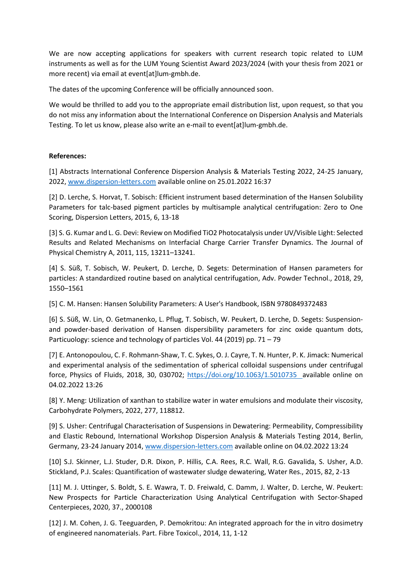We are now accepting applications for speakers with current research topic related to LUM instruments as well as for the LUM Young Scientist Award 2023/2024 (with your thesis from 2021 or more recent) via email at event[at]lum-gmbh.de.

The dates of the upcoming Conference will be officially announced soon.

We would be thrilled to add you to the appropriate email distribution list, upon request, so that you do not miss any information about the International Conference on Dispersion Analysis and Materials Testing. To let us know, please also write an e-mail to event[at]lum-gmbh.de.

### **References:**

[1] Abstracts International Conference Dispersion Analysis & Materials Testing 2022, 24-25 January, 2022, [www.dispersion-letters.com](http://www.dispersion-letters.com/) available online on 25.01.2022 16:37

[2] D. Lerche, S. Horvat, T. Sobisch: Efficient instrument based determination of the Hansen Solubility Parameters for talc-based pigment particles by multisample analytical centrifugation: Zero to One Scoring, Dispersion Letters, 2015, 6, 13-18

[3] S. G. Kumar and L. G. Devi: Review on Modified TiO2 Photocatalysis under UV/Visible Light: Selected Results and Related Mechanisms on Interfacial Charge Carrier Transfer Dynamics. The Journal of Physical Chemistry A, 2011, 115, 13211–13241.

[4] S. Süß, T. Sobisch, W. Peukert, D. Lerche, D. Segets: Determination of Hansen parameters for particles: A standardized routine based on analytical centrifugation, Adv. Powder Technol., 2018, 29, 1550–1561

[5] C. M. Hansen: Hansen Solubility Parameters: A User's Handbook, ISBN 9780849372483

[6] S. Süß, W. Lin, O. Getmanenko, L. Pflug, T. Sobisch, W. Peukert, D. Lerche, D. Segets: Suspensionand powder-based derivation of Hansen dispersibility parameters for zinc oxide quantum dots, Particuology: science and technology of particles Vol. 44 (2019) pp. 71 – 79

[7] E. Antonopoulou, C. F. Rohmann-Shaw, T. C. Sykes, O. J. Cayre, T. N. Hunter, P. K. Jimack: Numerical and experimental analysis of the sedimentation of spherical colloidal suspensions under centrifugal force, Physics of Fluids, 2018, 30, 030702;<https://doi.org/10.1063/1.5010735>available online on 04.02.2022 13:26

[8] Y. Meng: Utilization of xanthan to stabilize water in water emulsions and modulate their viscosity, Carbohydrate Polymers, 2022, 277, 118812.

[9] S. Usher: Centrifugal Characterisation of Suspensions in Dewatering: Permeability, Compressibility and Elastic Rebound, International Workshop Dispersion Analysis & Materials Testing 2014, Berlin, Germany, 23-24 January 2014[, www.dispersion-letters.com](http://www.dispersion-letters.com/) available online on 04.02.2022 13:24

[10] S.J. Skinner, L.J. Studer, D.R. Dixon, P. Hillis, C.A. Rees, R.C. Wall, R.G. Gavalida, S. Usher, A.D. Stickland, P.J. Scales: Quantification of wastewater sludge dewatering, Water Res., 2015, 82, 2-13

[11] M. J. Uttinger, S. Boldt, S. E. Wawra, T. D. Freiwald, C. Damm, J. Walter, D. Lerche, W. Peukert: New Prospects for Particle Characterization Using Analytical Centrifugation with Sector‐Shaped Centerpieces, 2020, 37., 2000108

[12] J. M. Cohen, J. G. Teeguarden, P. Demokritou: An integrated approach for the in vitro dosimetry of engineered nanomaterials. Part. Fibre Toxicol., 2014, 11, 1-12